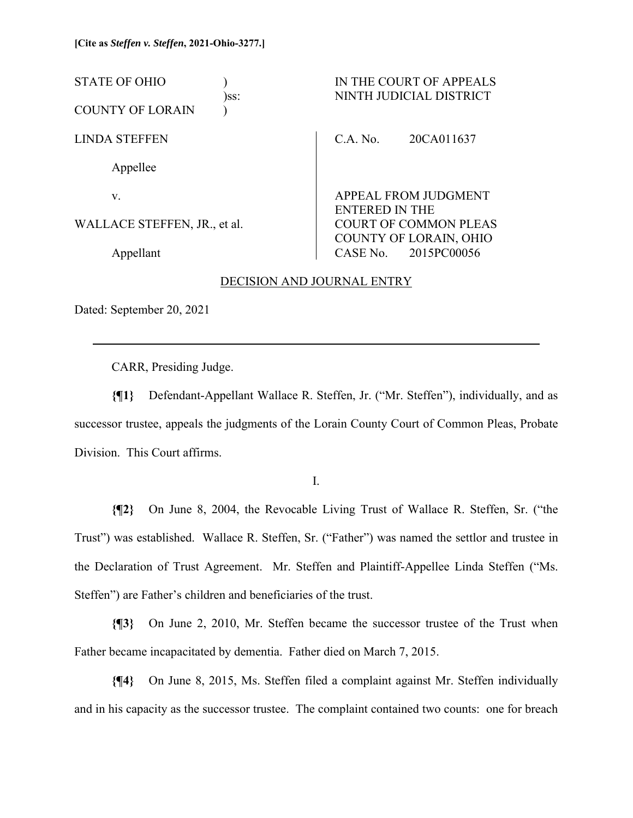STATE OF OHIO ) IN THE COURT OF APPEALS )ss: NINTH JUDICIAL DISTRICT COUNTY OF LORAIN ) LINDA STEFFEN Appellee v. WALLACE STEFFEN, JR., et al. Appellant C.A. No. 20CA011637 APPEAL FROM JUDGMENT ENTERED IN THE COURT OF COMMON PLEAS COUNTY OF LORAIN, OHIO CASE No. 2015PC00056

## DECISION AND JOURNAL ENTRY

Dated: September 20, 2021

 $\overline{a}$ 

CARR, Presiding Judge.

**{¶1}** Defendant-Appellant Wallace R. Steffen, Jr. ("Mr. Steffen"), individually, and as successor trustee, appeals the judgments of the Lorain County Court of Common Pleas, Probate Division. This Court affirms.

I.

**{¶2}** On June 8, 2004, the Revocable Living Trust of Wallace R. Steffen, Sr. ("the Trust") was established. Wallace R. Steffen, Sr. ("Father") was named the settlor and trustee in the Declaration of Trust Agreement. Mr. Steffen and Plaintiff-Appellee Linda Steffen ("Ms. Steffen") are Father's children and beneficiaries of the trust.

**{¶3}** On June 2, 2010, Mr. Steffen became the successor trustee of the Trust when Father became incapacitated by dementia. Father died on March 7, 2015.

**{¶4}** On June 8, 2015, Ms. Steffen filed a complaint against Mr. Steffen individually and in his capacity as the successor trustee. The complaint contained two counts: one for breach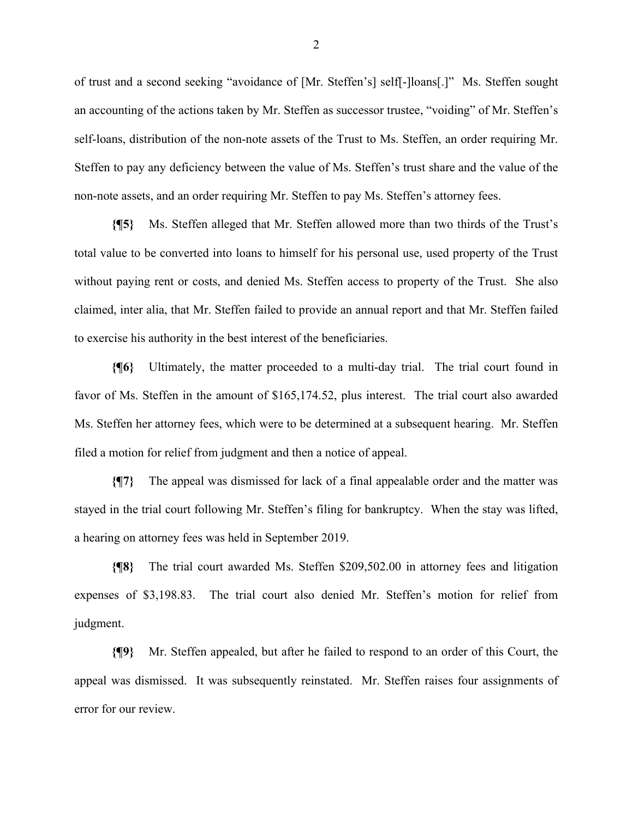of trust and a second seeking "avoidance of [Mr. Steffen's] self[-]loans[.]" Ms. Steffen sought an accounting of the actions taken by Mr. Steffen as successor trustee, "voiding" of Mr. Steffen's self-loans, distribution of the non-note assets of the Trust to Ms. Steffen, an order requiring Mr. Steffen to pay any deficiency between the value of Ms. Steffen's trust share and the value of the non-note assets, and an order requiring Mr. Steffen to pay Ms. Steffen's attorney fees.

**{¶5}** Ms. Steffen alleged that Mr. Steffen allowed more than two thirds of the Trust's total value to be converted into loans to himself for his personal use, used property of the Trust without paying rent or costs, and denied Ms. Steffen access to property of the Trust. She also claimed, inter alia, that Mr. Steffen failed to provide an annual report and that Mr. Steffen failed to exercise his authority in the best interest of the beneficiaries.

**{¶6}** Ultimately, the matter proceeded to a multi-day trial. The trial court found in favor of Ms. Steffen in the amount of \$165,174.52, plus interest. The trial court also awarded Ms. Steffen her attorney fees, which were to be determined at a subsequent hearing. Mr. Steffen filed a motion for relief from judgment and then a notice of appeal.

**{¶7}** The appeal was dismissed for lack of a final appealable order and the matter was stayed in the trial court following Mr. Steffen's filing for bankruptcy. When the stay was lifted, a hearing on attorney fees was held in September 2019.

**{¶8}** The trial court awarded Ms. Steffen \$209,502.00 in attorney fees and litigation expenses of \$3,198.83. The trial court also denied Mr. Steffen's motion for relief from judgment.

**{¶9}** Mr. Steffen appealed, but after he failed to respond to an order of this Court, the appeal was dismissed. It was subsequently reinstated. Mr. Steffen raises four assignments of error for our review.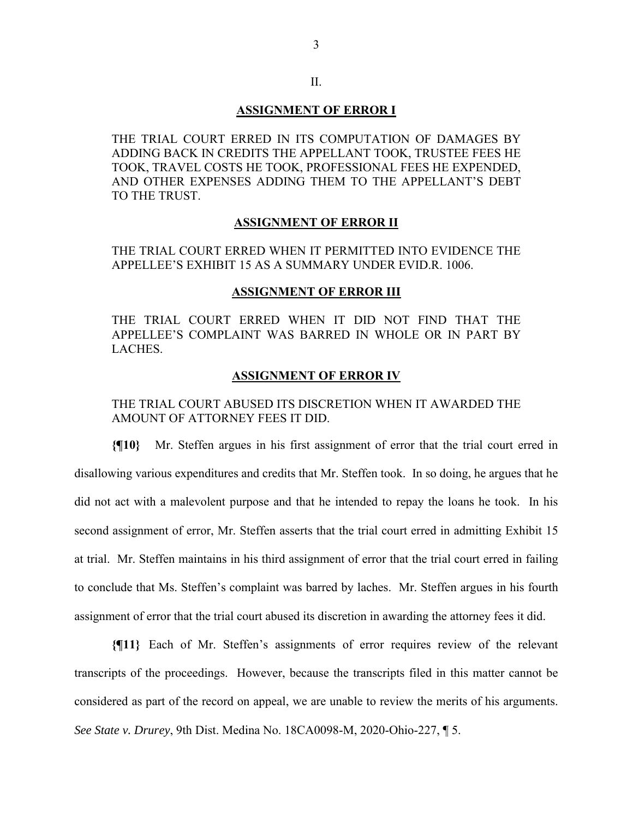# II.

## **ASSIGNMENT OF ERROR I**

THE TRIAL COURT ERRED IN ITS COMPUTATION OF DAMAGES BY ADDING BACK IN CREDITS THE APPELLANT TOOK, TRUSTEE FEES HE TOOK, TRAVEL COSTS HE TOOK, PROFESSIONAL FEES HE EXPENDED, AND OTHER EXPENSES ADDING THEM TO THE APPELLANT'S DEBT TO THE TRUST.

#### **ASSIGNMENT OF ERROR II**

THE TRIAL COURT ERRED WHEN IT PERMITTED INTO EVIDENCE THE APPELLEE'S EXHIBIT 15 AS A SUMMARY UNDER EVID.R. 1006.

#### **ASSIGNMENT OF ERROR III**

THE TRIAL COURT ERRED WHEN IT DID NOT FIND THAT THE APPELLEE'S COMPLAINT WAS BARRED IN WHOLE OR IN PART BY LACHES.

#### **ASSIGNMENT OF ERROR IV**

THE TRIAL COURT ABUSED ITS DISCRETION WHEN IT AWARDED THE AMOUNT OF ATTORNEY FEES IT DID.

**{¶10}** Mr. Steffen argues in his first assignment of error that the trial court erred in disallowing various expenditures and credits that Mr. Steffen took. In so doing, he argues that he did not act with a malevolent purpose and that he intended to repay the loans he took. In his second assignment of error, Mr. Steffen asserts that the trial court erred in admitting Exhibit 15 at trial. Mr. Steffen maintains in his third assignment of error that the trial court erred in failing to conclude that Ms. Steffen's complaint was barred by laches. Mr. Steffen argues in his fourth assignment of error that the trial court abused its discretion in awarding the attorney fees it did.

**{¶11}** Each of Mr. Steffen's assignments of error requires review of the relevant transcripts of the proceedings. However, because the transcripts filed in this matter cannot be considered as part of the record on appeal, we are unable to review the merits of his arguments. *See State v. Drurey*, 9th Dist. Medina No. 18CA0098-M, 2020-Ohio-227, ¶ 5.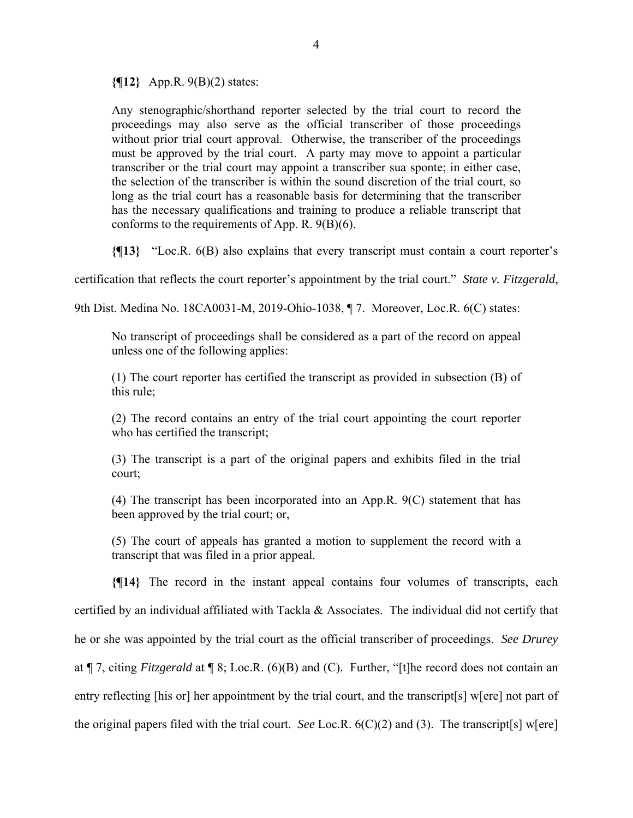**{¶12}** App.R. 9(B)(2) states:

Any stenographic/shorthand reporter selected by the trial court to record the proceedings may also serve as the official transcriber of those proceedings without prior trial court approval. Otherwise, the transcriber of the proceedings must be approved by the trial court. A party may move to appoint a particular transcriber or the trial court may appoint a transcriber sua sponte; in either case, the selection of the transcriber is within the sound discretion of the trial court, so long as the trial court has a reasonable basis for determining that the transcriber has the necessary qualifications and training to produce a reliable transcript that conforms to the requirements of App. R. 9(B)(6).

**{¶13}** "Loc.R. 6(B) also explains that every transcript must contain a court reporter's

certification that reflects the court reporter's appointment by the trial court." *State v. Fitzgerald*,

9th Dist. Medina No. 18CA0031-M, 2019-Ohio-1038, ¶ 7. Moreover, Loc.R. 6(C) states:

No transcript of proceedings shall be considered as a part of the record on appeal unless one of the following applies:

(1) The court reporter has certified the transcript as provided in subsection (B) of this rule;

(2) The record contains an entry of the trial court appointing the court reporter who has certified the transcript;

(3) The transcript is a part of the original papers and exhibits filed in the trial court;

(4) The transcript has been incorporated into an App.R. 9(C) statement that has been approved by the trial court; or,

(5) The court of appeals has granted a motion to supplement the record with a transcript that was filed in a prior appeal.

**{¶14}** The record in the instant appeal contains four volumes of transcripts, each certified by an individual affiliated with Tackla & Associates. The individual did not certify that he or she was appointed by the trial court as the official transcriber of proceedings. *See Drurey* at ¶ 7, citing *Fitzgerald* at ¶ 8; Loc.R. (6)(B) and (C). Further, "[t]he record does not contain an entry reflecting [his or] her appointment by the trial court, and the transcript[s] w[ere] not part of the original papers filed with the trial court. *See* Loc.R. 6(C)(2) and (3). The transcript[s] w[ere]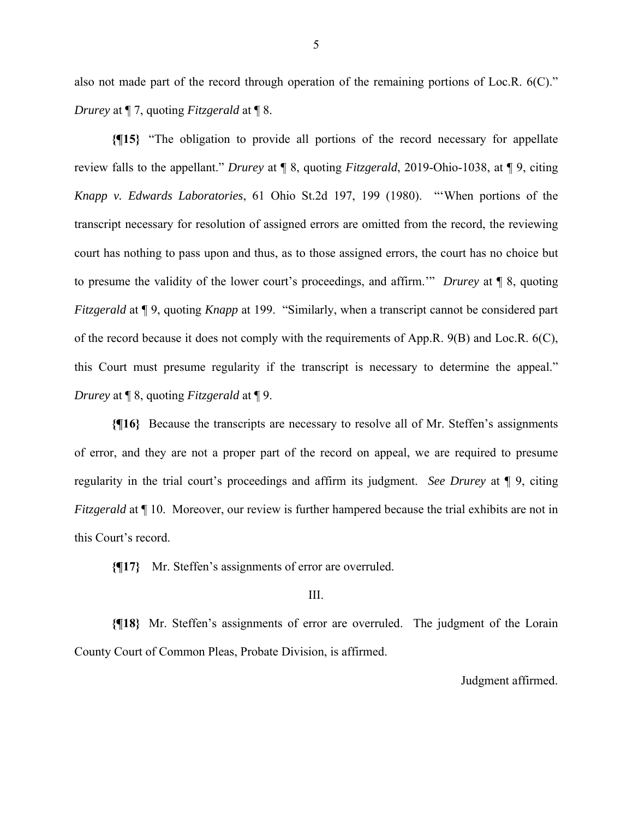also not made part of the record through operation of the remaining portions of Loc.R. 6(C)." *Drurey* at ¶ 7, quoting *Fitzgerald* at ¶ 8.

**{¶15}** "The obligation to provide all portions of the record necessary for appellate review falls to the appellant." *Drurey* at ¶ 8, quoting *Fitzgerald*, 2019-Ohio-1038, at ¶ 9, citing *Knapp v. Edwards Laboratories*, 61 Ohio St.2d 197, 199 (1980). "'When portions of the transcript necessary for resolution of assigned errors are omitted from the record, the reviewing court has nothing to pass upon and thus, as to those assigned errors, the court has no choice but to presume the validity of the lower court's proceedings, and affirm.'" *Drurey* at ¶ 8, quoting *Fitzgerald* at ¶ 9, quoting *Knapp* at 199. "Similarly, when a transcript cannot be considered part of the record because it does not comply with the requirements of App.R. 9(B) and Loc.R. 6(C), this Court must presume regularity if the transcript is necessary to determine the appeal." *Drurey* at ¶ 8, quoting *Fitzgerald* at ¶ 9.

**{¶16}** Because the transcripts are necessary to resolve all of Mr. Steffen's assignments of error, and they are not a proper part of the record on appeal, we are required to presume regularity in the trial court's proceedings and affirm its judgment. *See Drurey* at ¶ 9, citing *Fitzgerald* at  $\P$  10. Moreover, our review is further hampered because the trial exhibits are not in this Court's record.

**{¶17}** Mr. Steffen's assignments of error are overruled.

### III.

**{¶18}** Mr. Steffen's assignments of error are overruled. The judgment of the Lorain County Court of Common Pleas, Probate Division, is affirmed.

Judgment affirmed.